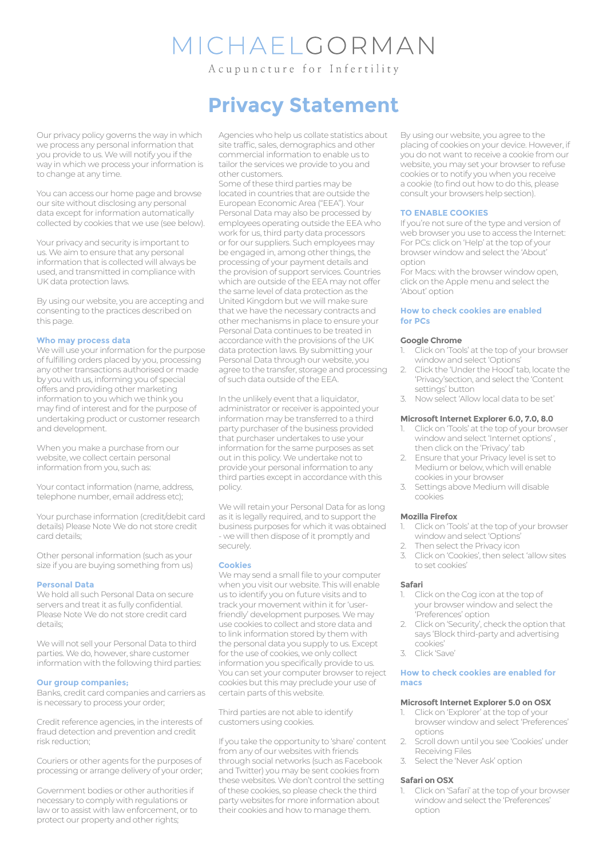# MICHAELGORMAN

Acupuncture for Infertility

Our privacy policy governs the way in which we process any personal information that you provide to us. We will notify you if the way in which we process your information is to change at any time.

You can access our home page and browse our site without disclosing any personal data except for information automatically collected by cookies that we use (see below).

Your privacy and security is important to us. We aim to ensure that any personal information that is collected will always be used, and transmitted in compliance with UK data protection laws.

By using our website, you are accepting and consenting to the practices described on this page.

#### **Who may process data**

We will use your information for the purpose of fulfilling orders placed by you, processing any other transactions authorised or made by you with us, informing you of special offers and providing other marketing information to you which we think you may find of interest and for the purpose of undertaking product or customer research and development.

When you make a purchase from our website, we collect certain personal information from you, such as:

Your contact information (name, address, telephone number, email address etc);

Your purchase information (credit/debit card details) Please Note We do not store credit card details;

Other personal information (such as your size if you are buying something from us)

#### **Personal Data**

We hold all such Personal Data on secure servers and treat it as fully confidential. Please Note We do not store credit card details;

We will not sell your Personal Data to third parties. We do, however, share customer information with the following third parties:

#### **Our group companies;**

Banks, credit card companies and carriers as is necessary to process your order;

Credit reference agencies, in the interests of fraud detection and prevention and credit risk reduction;

Couriers or other agents for the purposes of processing or arrange delivery of your order;

Government bodies or other authorities if necessary to comply with regulations or law or to assist with law enforcement, or to protect our property and other rights;

## **Privacy Statement**

Agencies who help us collate statistics about site traffic, sales, demographics and other commercial information to enable us to tailor the services we provide to you and other customers.

Some of these third parties may be located in countries that are outside the European Economic Area ("EEA"). Your Personal Data may also be processed by employees operating outside the EEA who work for us, third party data processors or for our suppliers. Such employees may be engaged in, among other things, the processing of your payment details and the provision of support services. Countries which are outside of the EEA may not offer the same level of data protection as the United Kingdom but we will make sure that we have the necessary contracts and other mechanisms in place to ensure your Personal Data continues to be treated in accordance with the provisions of the UK data protection laws. By submitting your Personal Data through our website, you agree to the transfer, storage and processing of such data outside of the EEA.

In the unlikely event that a liquidator, administrator or receiver is appointed your information may be transferred to a third party purchaser of the business provided that purchaser undertakes to use your information for the same purposes as set out in this policy. We undertake not to provide your personal information to any third parties except in accordance with this policy.

We will retain your Personal Data for as long as it is legally required, and to support the business purposes for which it was obtained - we will then dispose of it promptly and securely.

#### **Cookies**

We may send a small file to your computer when you visit our website. This will enable us to identify you on future visits and to track your movement within it for 'userfriendly' development purposes. We may use cookies to collect and store data and to link information stored by them with the personal data you supply to us. Except for the use of cookies, we only collect information you specifically provide to us. You can set your computer browser to reject cookies but this may preclude your use of certain parts of this website.

Third parties are not able to identify customers using cookies.

If you take the opportunity to 'share' content from any of our websites with friends through social networks (such as Facebook and Twitter) you may be sent cookies from these websites. We don't control the setting of these cookies, so please check the third party websites for more information about their cookies and how to manage them.

By using our website, you agree to the placing of cookies on your device. However, if you do not want to receive a cookie from our website, you may set your browser to refuse cookies or to notify you when you receive a cookie (to find out how to do this, please consult your browsers help section).

#### **TO ENABLE COOKIES**

If you're not sure of the type and version of web browser you use to access the Internet: For PCs: click on 'Help' at the top of your browser window and select the 'About' option

For Macs: with the browser window open, click on the Apple menu and select the 'About' option

#### **How to check cookies are enabled for PCs**

#### **Google Chrome**

- 1. Click on 'Tools' at the top of your browser window and select 'Options'
- 2. Click the 'Under the Hood' tab, locate the 'Privacy'section, and select the 'Content settings' button
- 3. Now select 'Allow local data to be set'

#### **Microsoft Internet Explorer 6.0, 7.0, 8.0**

- 1. Click on 'Tools' at the top of your browser window and select 'Internet options' , then click on the 'Privacy' tab
- Ensure that your Privacy level is set to Medium or below, which will enable cookies in your browser
- 3. Settings above Medium will disable cookies

#### **Mozilla Firefox**

- 1. Click on 'Tools' at the top of your browser window and select 'Options'
- 2. Then select the Privacy icon<br>3. Click on 'Cookies' then select
- 3. Click on 'Cookies', then select 'allow sites to set cookies'

#### **Safari**

- Click on the Cog icon at the top of your browser window and select the 'Preferences' option
- 2. Click on 'Security', check the option that says 'Block third-party and advertising cookies'
- 3. Click 'Save'

#### **How to check cookies are enabled for macs**

#### **Microsoft Internet Explorer 5.0 on OSX**

- 1. Click on 'Explorer' at the top of your browser window and select 'Preferences' options
- 2. Scroll down until you see 'Cookies' under Receiving Files
- 3. Select the 'Never Ask' option

#### **Safari on OSX**

1. Click on 'Safari' at the top of your browser window and select the 'Preferences' option